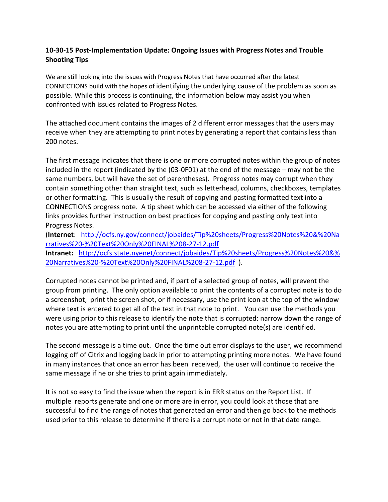## **10-30-15 Post-Implementation Update: Ongoing Issues with Progress Notes and Trouble Shooting Tips**

We are still looking into the issues with Progress Notes that have occurred after the latest CONNECTIONS build with the hopes of identifying the underlying cause of the problem as soon as possible. While this process is continuing, the information below may assist you when confronted with issues related to Progress Notes.

The attached document contains the images of 2 different error messages that the users may receive when they are attempting to print notes by generating a report that contains less than 200 notes.

The first message indicates that there is one or more corrupted notes within the group of notes included in the report (indicated by the (03-0F01) at the end of the message – may not be the same numbers, but will have the set of parentheses). Progress notes may corrupt when they contain something other than straight text, such as letterhead, columns, checkboxes, templates or other formatting. This is usually the result of copying and pasting formatted text into a CONNECTIONS progress note. A tip sheet which can be accessed via either of the following links provides further instruction on best practices for copying and pasting only text into Progress Notes.

(**Internet**: [http://ocfs.ny.gov/connect/jobaides/Tip%20sheets/Progress%20Notes%20&%20Na](http://ocfs.ny.gov/connect/jobaides/Tip%20sheets/Progress%20Notes%20&%20Narratives%20-%20Text%20Only%20FINAL%208-27-12.pdf) [rratives%20-%20Text%20Only%20FINAL%208-27-12.pdf](http://ocfs.ny.gov/connect/jobaides/Tip%20sheets/Progress%20Notes%20&%20Narratives%20-%20Text%20Only%20FINAL%208-27-12.pdf) **Intranet:** [http://ocfs.state.nyenet/connect/jobaides/Tip%20sheets/Progress%20Notes%20&%](http://ocfs.state.nyenet/connect/jobaides/Tip%20sheets/Progress%20Notes%20&%20Narratives%20-%20Text%20Only%20FINAL%208-27-12.pdf) [20Narratives%20-%20Text%20Only%20FINAL%208-27-12.pdf](http://ocfs.state.nyenet/connect/jobaides/Tip%20sheets/Progress%20Notes%20&%20Narratives%20-%20Text%20Only%20FINAL%208-27-12.pdf) ).

Corrupted notes cannot be printed and, if part of a selected group of notes, will prevent the group from printing. The only option available to print the contents of a corrupted note is to do a screenshot, print the screen shot, or if necessary, use the print icon at the top of the window where text is entered to get all of the text in that note to print. You can use the methods you were using prior to this release to identify the note that is corrupted: narrow down the range of notes you are attempting to print until the unprintable corrupted note(s) are identified.

The second message is a time out. Once the time out error displays to the user, we recommend logging off of Citrix and logging back in prior to attempting printing more notes. We have found in many instances that once an error has been received, the user will continue to receive the same message if he or she tries to print again immediately.

It is not so easy to find the issue when the report is in ERR status on the Report List. If multiple reports generate and one or more are in error, you could look at those that are successful to find the range of notes that generated an error and then go back to the methods used prior to this release to determine if there is a corrupt note or not in that date range.